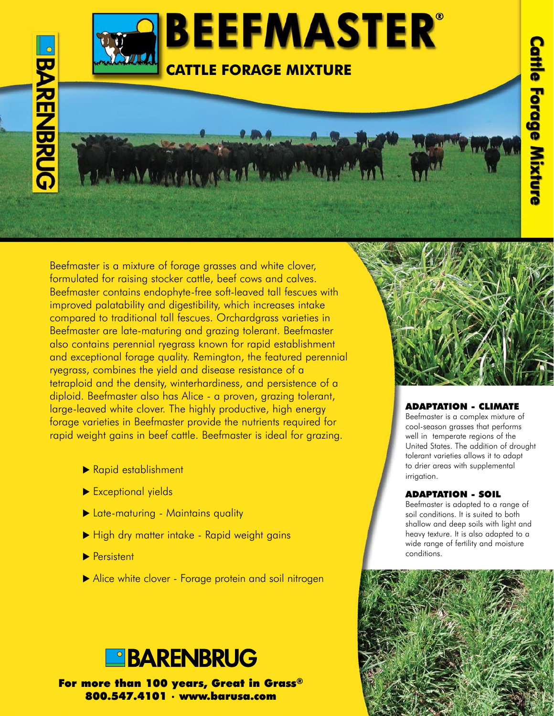

Beefmaster is a mixture of forage grasses and white clover, formulated for raising stocker cattle, beef cows and calves. Beefmaster contains endophyte-free soft-leaved tall fescues with improved palatability and digestibility, which increases intake compared to traditional tall fescues. Orchardgrass varieties in Beefmaster are late-maturing and grazing tolerant. Beefmaster also contains perennial ryegrass known for rapid establishment and exceptional forage quality. Remington, the featured perennial ryegrass, combines the yield and disease resistance of a tetraploid and the density, winterhardiness, and persistence of a diploid. Beefmaster also has Alice - a proven, grazing tolerant, large-leaved white clover. The highly productive, high energy forage varieties in Beefmaster provide the nutrients required for rapid weight gains in beef cattle. Beefmaster is ideal for grazing.

**August Ale AS** 

- $\blacktriangleright$  Rapid establishment
- Exceptional yields
- ▶ Late-maturing Maintains quality
- High dry matter intake Rapid weight gains
- $\blacktriangleright$  Persistent

**BARENBRUG** 

Alice white clover - Forage protein and soil nitrogen



For more than 100 years, Great in Grass® 800.547.4101 • www.barusa.com



#### Adaptation - Climate

Beefmaster is a complex mixture of cool-season grasses that performs well in temperate regions of the United States. The addition of drought tolerant varieties allows it to adapt to drier areas with supplemental irrigation.

#### Adaptation - Soil

Beefmaster is adapted to a range of soil conditions. It is suited to both shallow and deep soils with light and heavy texture. It is also adapted to a wide range of fertility and moisture conditions.